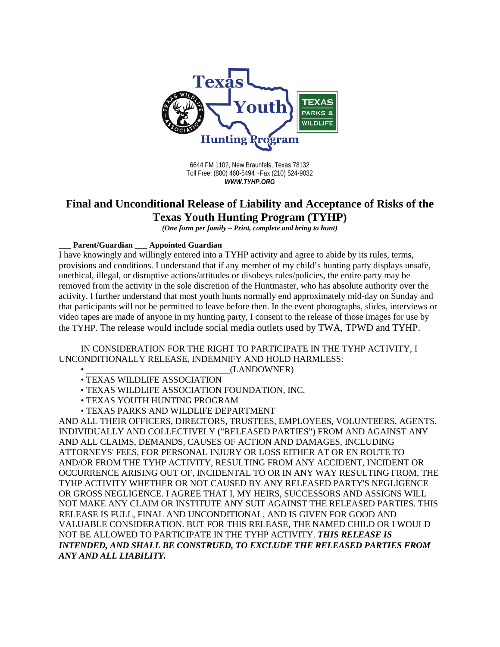

6644 FM 1102, New Braunfels, Texas 78132 Toll Free: (800) 460-5494 ~Fax (210) 524-9032 *WWW.TYHP.ORG*

## **Final and Unconditional Release of Liability and Acceptance of Risks of the Texas Youth Hunting Program (TYHP)**

*(One form per family – Print, complete and bring to hunt)*

**\_\_\_ Parent/Guardian \_\_\_ Appointed Guardian** 

I have knowingly and willingly entered into a TYHP activity and agree to abide by its rules, terms, provisions and conditions. I understand that if any member of my child's hunting party displays unsafe, unethical, illegal, or disruptive actions/attitudes or disobeys rules/policies, the entire party may be removed from the activity in the sole discretion of the Huntmaster, who has absolute authority over the activity. I further understand that most youth hunts normally end approximately mid-day on Sunday and that participants will not be permitted to leave before then. In the event photographs, slides, interviews or video tapes are made of anyone in my hunting party, I consent to the release of those images for use by the TYHP. The release would include social media outlets used by TWA, TPWD and TYHP.

## IN CONSIDERATION FOR THE RIGHT TO PARTICIPATE IN THE TYHP ACTIVITY, I UNCONDITIONALLY RELEASE, INDEMNIFY AND HOLD HARMLESS:

• \_\_\_\_\_\_\_\_\_\_\_\_\_\_\_\_\_\_\_\_\_\_\_\_\_\_\_\_\_\_\_\_(LANDOWNER)

- TEXAS WILDLIFE ASSOCIATION
- TEXAS WILDLIFE ASSOCIATION FOUNDATION, INC.
- TEXAS YOUTH HUNTING PROGRAM
- TEXAS PARKS AND WILDLIFE DEPARTMENT

AND ALL THEIR OFFICERS, DIRECTORS, TRUSTEES, EMPLOYEES, VOLUNTEERS, AGENTS, INDIVIDUALLY AND COLLECTIVELY ("RELEASED PARTIES") FROM AND AGAINST ANY AND ALL CLAIMS, DEMANDS, CAUSES OF ACTION AND DAMAGES, INCLUDING ATTORNEYS' FEES, FOR PERSONAL INJURY OR LOSS EITHER AT OR EN ROUTE TO AND/OR FROM THE TYHP ACTIVITY, RESULTING FROM ANY ACCIDENT, INCIDENT OR OCCURRENCE ARISING OUT OF, INCIDENTAL TO OR IN ANY WAY RESULTING FROM, THE TYHP ACTIVITY WHETHER OR NOT CAUSED BY ANY RELEASED PARTY'S NEGLIGENCE OR GROSS NEGLIGENCE. I AGREE THAT I, MY HEIRS, SUCCESSORS AND ASSIGNS WILL NOT MAKE ANY CLAIM OR INSTITUTE ANY SUIT AGAINST THE RELEASED PARTIES. THIS RELEASE IS FULL, FINAL AND UNCONDITIONAL, AND IS GIVEN FOR GOOD AND VALUABLE CONSIDERATION. BUT FOR THIS RELEASE, THE NAMED CHILD OR I WOULD NOT BE ALLOWED TO PARTICIPATE IN THE TYHP ACTIVITY. *THIS RELEASE IS INTENDED, AND SHALL BE CONSTRUED, TO EXCLUDE THE RELEASED PARTIES FROM ANY AND ALL LIABILITY.*